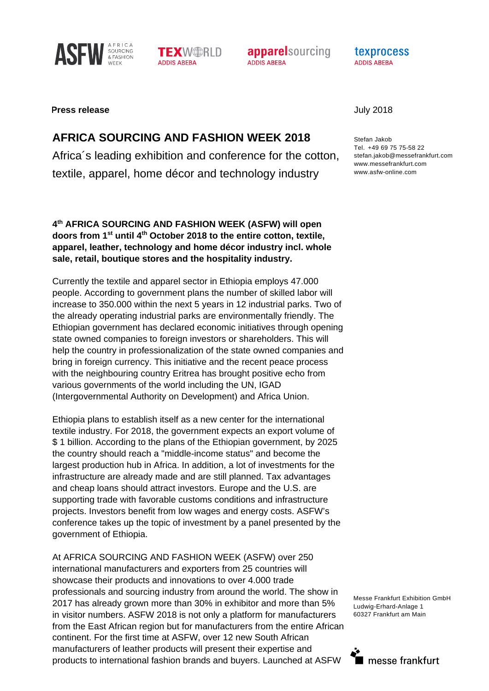



**apparelsourcing** ADDIS ABFBA

texprocess **ADDIS ABFBA** 

## **Press release** July 2018

## **AFRICA SOURCING AND FASHION WEEK 2018**

Africa´s leading exhibition and conference for the cotton, textile, apparel, home décor and technology industry

**4th AFRICA SOURCING AND FASHION WEEK (ASFW) will open doors from 1st until 4th October 2018 to the entire cotton, textile, apparel, leather, technology and home décor industry incl. whole sale, retail, boutique stores and the hospitality industry.** 

Currently the textile and apparel sector in Ethiopia employs 47.000 people. According to government plans the number of skilled labor will increase to 350.000 within the next 5 years in 12 industrial parks. Two of the already operating industrial parks are environmentally friendly. The Ethiopian government has declared economic initiatives through opening state owned companies to foreign investors or shareholders. This will help the country in professionalization of the state owned companies and bring in foreign currency. This initiative and the recent peace process with the neighbouring country Eritrea has brought positive echo from various governments of the world including the UN, IGAD (Intergovernmental Authority on Development) and Africa Union.

Ethiopia plans to establish itself as a new center for the international textile industry. For 2018, the government expects an export volume of \$ 1 billion. According to the plans of the Ethiopian government, by 2025 the country should reach a "middle-income status" and become the largest production hub in Africa. In addition, a lot of investments for the infrastructure are already made and are still planned. Tax advantages and cheap loans should attract investors. Europe and the U.S. are supporting trade with favorable customs conditions and infrastructure projects. Investors benefit from low wages and energy costs. ASFW's conference takes up the topic of investment by a panel presented by the government of Ethiopia.

At AFRICA SOURCING AND FASHION WEEK (ASFW) over 250 international manufacturers and exporters from 25 countries will showcase their products and innovations to over 4.000 trade professionals and sourcing industry from around the world. The show in 2017 has already grown more than 30% in exhibitor and more than 5% in visitor numbers. ASFW 2018 is not only a platform for manufacturers from the East African region but for manufacturers from the entire African continent. For the first time at ASFW, over 12 new South African manufacturers of leather products will present their expertise and products to international fashion brands and buyers. Launched at ASFW

Stefan Jakob Tel. +49 69 75 75-58 22 stefan.jakob@messefrankfurt.com www.messefrankfurt.com www.asfw-online.com

Messe Frankfurt Exhibition GmbH Ludwig-Erhard-Anlage 1 60327 Frankfurt am Main